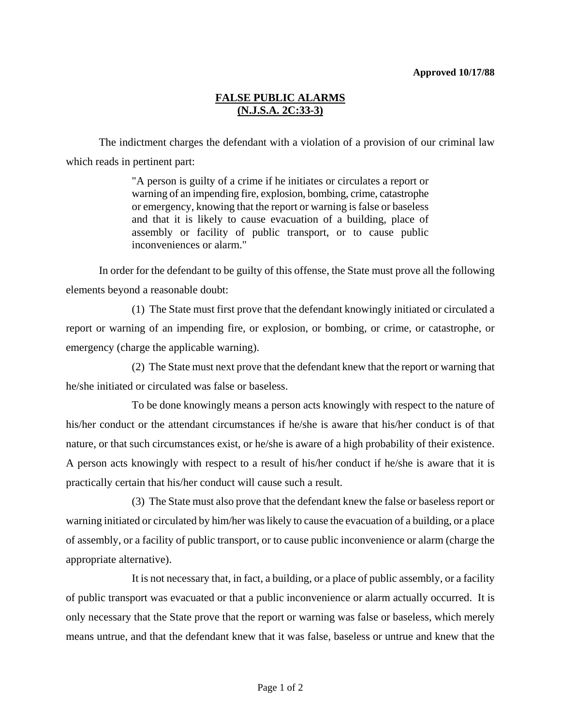## **FALSE PUBLIC ALARMS (N.J.S.A. 2C:33-3)**

The indictment charges the defendant with a violation of a provision of our criminal law which reads in pertinent part:

> "A person is guilty of a crime if he initiates or circulates a report or warning of an impending fire, explosion, bombing, crime, catastrophe or emergency, knowing that the report or warning is false or baseless and that it is likely to cause evacuation of a building, place of assembly or facility of public transport, or to cause public inconveniences or alarm."

In order for the defendant to be guilty of this offense, the State must prove all the following elements beyond a reasonable doubt:

(1) The State must first prove that the defendant knowingly initiated or circulated a report or warning of an impending fire, or explosion, or bombing, or crime, or catastrophe, or emergency (charge the applicable warning).

(2) The State must next prove that the defendant knew that the report or warning that he/she initiated or circulated was false or baseless.

To be done knowingly means a person acts knowingly with respect to the nature of his/her conduct or the attendant circumstances if he/she is aware that his/her conduct is of that nature, or that such circumstances exist, or he/she is aware of a high probability of their existence. A person acts knowingly with respect to a result of his/her conduct if he/she is aware that it is practically certain that his/her conduct will cause such a result.

(3) The State must also prove that the defendant knew the false or baseless report or warning initiated or circulated by him/her was likely to cause the evacuation of a building, or a place of assembly, or a facility of public transport, or to cause public inconvenience or alarm (charge the appropriate alternative).

It is not necessary that, in fact, a building, or a place of public assembly, or a facility of public transport was evacuated or that a public inconvenience or alarm actually occurred. It is only necessary that the State prove that the report or warning was false or baseless, which merely means untrue, and that the defendant knew that it was false, baseless or untrue and knew that the